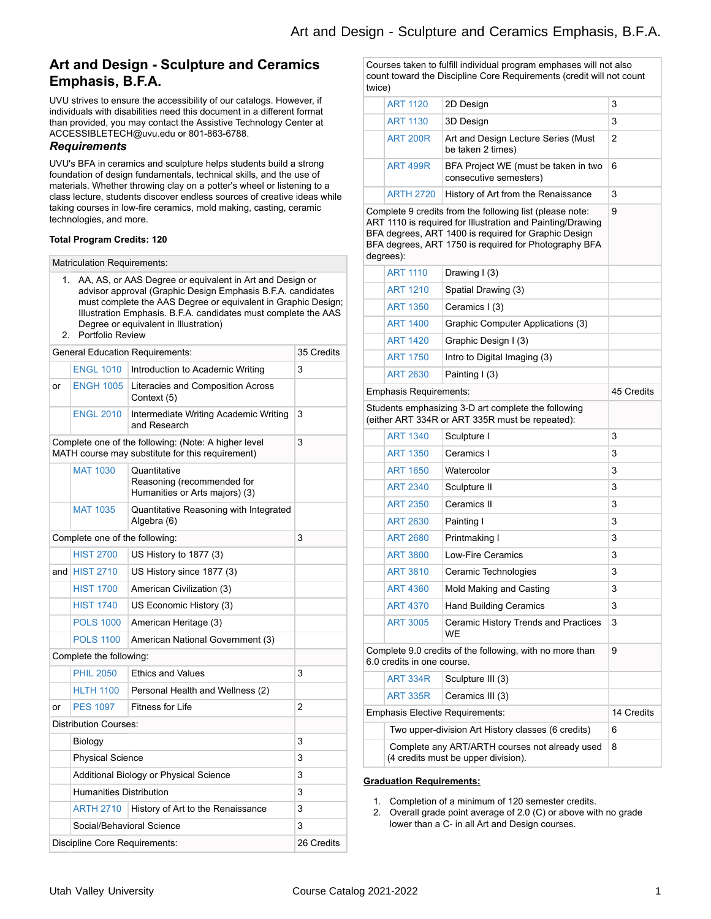## **Art and Design - Sculpture and Ceramics Emphasis, B.F.A.**

UVU strives to ensure the accessibility of our catalogs. However, if individuals with disabilities need this document in a different format than provided, you may contact the Assistive Technology Center at ACCESSIBLETECH@uvu.edu or 801-863-6788.

### *Requirements*

UVU's BFA in ceramics and sculpture helps students build a strong foundation of design fundamentals, technical skills, and the use of materials. Whether throwing clay on a potter's wheel or listening to a class lecture, students discover endless sources of creative ideas while taking courses in low-fire ceramics, mold making, casting, ceramic technologies, and more.

### **Total Program Credits: 120**

| <b>Matriculation Requirements:</b> |  |
|------------------------------------|--|
|------------------------------------|--|

- 1. AA, AS, or AAS Degree or equivalent in Art and Design or advisor approval (Graphic Design Emphasis B.F.A. candidates must complete the AAS Degree or equivalent in Graphic Design; Illustration Emphasis. B.F.A. candidates must complete the AAS Degree or equivalent in Illustration)
- 2. Portfolio Review

|     | <b>General Education Requirements:</b> |                                                                                                          | 35 Credits |
|-----|----------------------------------------|----------------------------------------------------------------------------------------------------------|------------|
|     | <b>ENGL 1010</b>                       | Introduction to Academic Writing                                                                         | 3          |
| or  | <b>ENGH 1005</b>                       | Literacies and Composition Across<br>Context (5)                                                         |            |
|     | <b>ENGL 2010</b>                       | Intermediate Writing Academic Writing<br>and Research                                                    | 3          |
|     |                                        | Complete one of the following: (Note: A higher level<br>MATH course may substitute for this requirement) | 3          |
|     | <b>MAT 1030</b>                        | Quantitative<br>Reasoning (recommended for<br>Humanities or Arts majors) (3)                             |            |
|     | <b>MAT 1035</b>                        | Quantitative Reasoning with Integrated<br>Algebra (6)                                                    |            |
|     | Complete one of the following:         |                                                                                                          |            |
|     | <b>HIST 2700</b>                       | US History to 1877 (3)                                                                                   |            |
| and | <b>HIST 2710</b>                       | US History since 1877 (3)                                                                                |            |
|     | <b>HIST 1700</b>                       | American Civilization (3)                                                                                |            |
|     | <b>HIST 1740</b>                       | US Economic History (3)                                                                                  |            |
|     | <b>POLS 1000</b>                       | American Heritage (3)                                                                                    |            |
|     | <b>POLS 1100</b>                       | American National Government (3)                                                                         |            |
|     | Complete the following:                |                                                                                                          |            |
|     | <b>PHIL 2050</b>                       | <b>Ethics and Values</b>                                                                                 | 3          |
|     | <b>HLTH 1100</b>                       | Personal Health and Wellness (2)                                                                         |            |
| or  | <b>PES 1097</b>                        | Fitness for Life                                                                                         | 2          |
|     | <b>Distribution Courses:</b>           |                                                                                                          |            |
|     | Biology                                |                                                                                                          | 3          |
|     | <b>Physical Science</b>                |                                                                                                          | 3          |
|     | Additional Biology or Physical Science |                                                                                                          | 3          |
|     | <b>Humanities Distribution</b>         |                                                                                                          | 3          |
|     | <b>ARTH 2710</b>                       | History of Art to the Renaissance                                                                        | 3          |
|     | Social/Behavioral Science              |                                                                                                          | 3          |
|     | Discipline Core Requirements:          |                                                                                                          |            |

Courses taken to fulfill individual program emphases will not also count toward the Discipline Core Requirements (credit will not count twice)

|                                        | <b>ART 1120</b>                                                                                                                                                                                                                                      | 2D Design                                                                             | 3              |
|----------------------------------------|------------------------------------------------------------------------------------------------------------------------------------------------------------------------------------------------------------------------------------------------------|---------------------------------------------------------------------------------------|----------------|
|                                        | <b>ART 1130</b>                                                                                                                                                                                                                                      | 3D Design                                                                             | 3              |
|                                        | <b>ART 200R</b>                                                                                                                                                                                                                                      | Art and Design Lecture Series (Must<br>be taken 2 times)                              | $\overline{2}$ |
|                                        | <b>ART 499R</b>                                                                                                                                                                                                                                      | BFA Project WE (must be taken in two<br>consecutive semesters)                        | 6              |
|                                        | <b>ARTH 2720</b>                                                                                                                                                                                                                                     | History of Art from the Renaissance                                                   | 3              |
|                                        | Complete 9 credits from the following list (please note:<br>ART 1110 is required for Illustration and Painting/Drawing<br>BFA degrees, ART 1400 is required for Graphic Design<br>BFA degrees, ART 1750 is required for Photography BFA<br>degrees): |                                                                                       |                |
|                                        | <b>ART 1110</b>                                                                                                                                                                                                                                      | Drawing I (3)                                                                         |                |
|                                        | <b>ART 1210</b>                                                                                                                                                                                                                                      | Spatial Drawing (3)                                                                   |                |
|                                        | <b>ART 1350</b>                                                                                                                                                                                                                                      | Ceramics I (3)                                                                        |                |
|                                        | <b>ART 1400</b>                                                                                                                                                                                                                                      | Graphic Computer Applications (3)                                                     |                |
|                                        | <b>ART 1420</b>                                                                                                                                                                                                                                      | Graphic Design I (3)                                                                  |                |
|                                        | <b>ART 1750</b>                                                                                                                                                                                                                                      | Intro to Digital Imaging (3)                                                          |                |
|                                        | <b>ART 2630</b>                                                                                                                                                                                                                                      | Painting I (3)                                                                        |                |
|                                        | Emphasis Requirements:                                                                                                                                                                                                                               |                                                                                       | 45 Credits     |
|                                        | Students emphasizing 3-D art complete the following<br>(either ART 334R or ART 335R must be repeated):                                                                                                                                               |                                                                                       |                |
|                                        | <b>ART 1340</b>                                                                                                                                                                                                                                      | Sculpture I                                                                           | 3              |
|                                        | <b>ART 1350</b>                                                                                                                                                                                                                                      | Ceramics I                                                                            | 3              |
|                                        | <b>ART 1650</b>                                                                                                                                                                                                                                      | Watercolor                                                                            | 3              |
|                                        | <b>ART 2340</b>                                                                                                                                                                                                                                      | Sculpture II                                                                          | 3              |
|                                        | <b>ART 2350</b>                                                                                                                                                                                                                                      | Ceramics II                                                                           | 3              |
|                                        | <b>ART 2630</b>                                                                                                                                                                                                                                      | Painting I                                                                            | 3              |
|                                        | <b>ART 2680</b>                                                                                                                                                                                                                                      | Printmaking I                                                                         | 3              |
|                                        | <b>ART 3800</b>                                                                                                                                                                                                                                      | <b>Low-Fire Ceramics</b>                                                              | 3              |
|                                        | <b>ART 3810</b>                                                                                                                                                                                                                                      | Ceramic Technologies                                                                  | 3              |
|                                        | <b>ART 4360</b>                                                                                                                                                                                                                                      | Mold Making and Casting                                                               | 3              |
|                                        | <b>ART 4370</b>                                                                                                                                                                                                                                      | <b>Hand Building Ceramics</b>                                                         | 3              |
|                                        | <b>ART 3005</b>                                                                                                                                                                                                                                      | Ceramic History Trends and Practices<br>WE                                            | 3              |
|                                        | Complete 9.0 credits of the following, with no more than<br>6.0 credits in one course.                                                                                                                                                               |                                                                                       | 9              |
|                                        | <b>ART 334R</b>                                                                                                                                                                                                                                      | Sculpture III (3)                                                                     |                |
|                                        | <b>ART 335R</b>                                                                                                                                                                                                                                      | Ceramics III (3)                                                                      |                |
| <b>Emphasis Elective Requirements:</b> |                                                                                                                                                                                                                                                      | 14 Credits                                                                            |                |
|                                        |                                                                                                                                                                                                                                                      | Two upper-division Art History classes (6 credits)                                    | 6              |
|                                        |                                                                                                                                                                                                                                                      | Complete any ART/ARTH courses not already used<br>(4 credits must be upper division). | 8              |

#### **Graduation Requirements:**

1. Completion of a minimum of 120 semester credits.

2. Overall grade point average of 2.0 (C) or above with no grade lower than a C- in all Art and Design courses.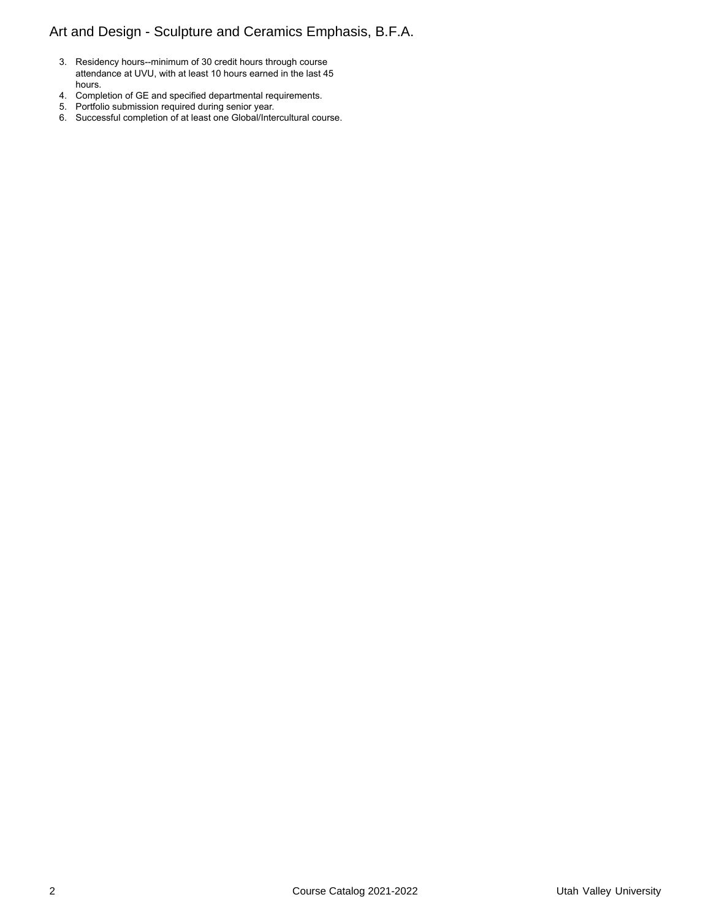# Art and Design - Sculpture and Ceramics Emphasis, B.F.A.

- 3. Residency hours--minimum of 30 credit hours through course attendance at UVU, with at least 10 hours earned in the last 45 hours.
- 4. Completion of GE and specified departmental requirements.
- 5. Portfolio submission required during senior year.
- 6. Successful completion of at least one Global/Intercultural course.